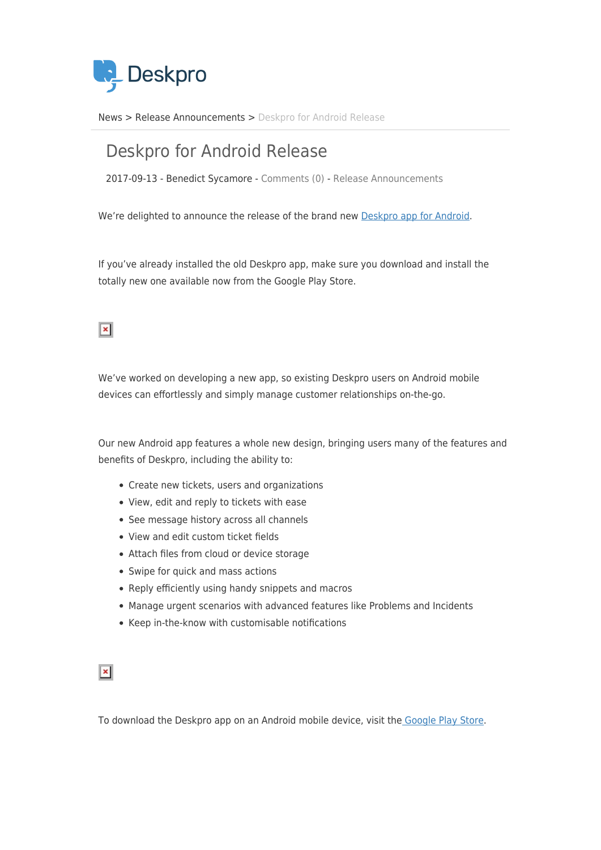

[News](https://support.deskpro.com/ro/news) > [Release Announcements](https://support.deskpro.com/ro/news/release-announcements) > [Deskpro for Android Release](https://support.deskpro.com/ro/news/posts/deskpro-for-android-release)

## Deskpro for Android Release

2017-09-13 - Benedict Sycamore - [Comments \(0\)](#page--1-0) - [Release Announcements](https://support.deskpro.com/ro/news/release-announcements)

We're delighted to announce the release of the brand new [Deskpro app for Android](https://play.google.com/store/apps/details?id=com.deskpro.android).

If you've already installed the old Deskpro app, make sure you download and install the totally new one available now from the Google Play Store.

## $\vert x \vert$

We've worked on developing a new app, so existing Deskpro users on Android mobile devices can effortlessly and simply manage customer relationships on-the-go.

Our new Android app features a whole new design, bringing users many of the features and benefits of Deskpro, including the ability to:

- Create new tickets, users and organizations
- View, edit and reply to tickets with ease
- See message history across all channels
- View and edit custom ticket fields
- Attach files from cloud or device storage
- Swipe for quick and mass actions
- Reply efficiently using handy snippets and macros
- Manage urgent scenarios with advanced features like Problems and Incidents
- Keep in-the-know with customisable notifications

 $\vert x \vert$ 

To download the Deskpro app on an Android mobile device, visit th[e Google Play Store](https://play.google.com/store/apps/details?id=com.deskpro.android).